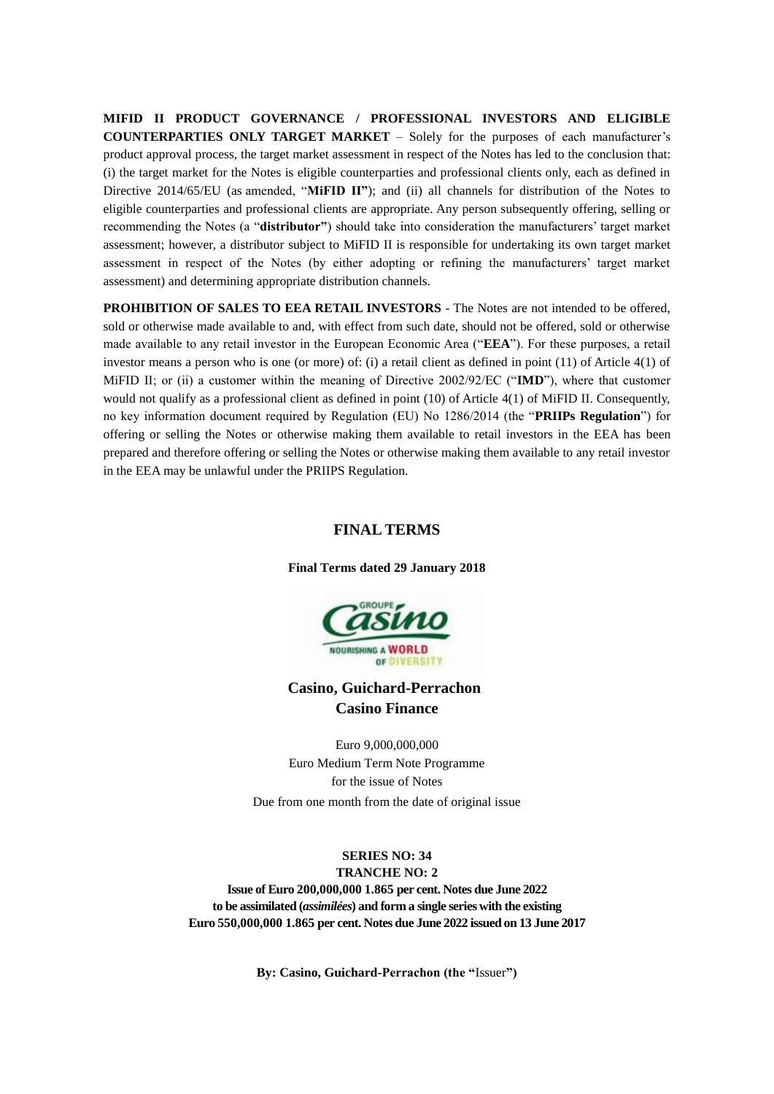**MIFID II PRODUCT GOVERNANCE / PROFESSIONAL INVESTORS AND ELIGIBLE COUNTERPARTIES ONLY TARGET MARKET** – Solely for the purposes of each manufacturer's product approval process, the target market assessment in respect of the Notes has led to the conclusion that: (i) the target market for the Notes is eligible counterparties and professional clients only, each as defined in Directive 2014/65/EU (as amended, "**MiFID II"**); and (ii) all channels for distribution of the Notes to eligible counterparties and professional clients are appropriate. Any person subsequently offering, selling or recommending the Notes (a "**distributor"**) should take into consideration the manufacturers' target market assessment; however, a distributor subject to MiFID II is responsible for undertaking its own target market assessment in respect of the Notes (by either adopting or refining the manufacturers' target market assessment) and determining appropriate distribution channels.

**PROHIBITION OF SALES TO EEA RETAIL INVESTORS** - The Notes are not intended to be offered, sold or otherwise made available to and, with effect from such date, should not be offered, sold or otherwise made available to any retail investor in the European Economic Area ("**EEA**"). For these purposes, a retail investor means a person who is one (or more) of: (i) a retail client as defined in point (11) of Article 4(1) of MiFID II; or (ii) a customer within the meaning of Directive 2002/92/EC ("**IMD**"), where that customer would not qualify as a professional client as defined in point (10) of Article 4(1) of MiFID II. Consequently, no key information document required by Regulation (EU) No 1286/2014 (the "**PRIIPs Regulation**") for offering or selling the Notes or otherwise making them available to retail investors in the EEA has been prepared and therefore offering or selling the Notes or otherwise making them available to any retail investor in the EEA may be unlawful under the PRIIPS Regulation.

# **FINAL TERMS**

**Final Terms dated 29 January 2018**



# **Casino, Guichard-Perrachon Casino Finance**

Euro 9,000,000,000 Euro Medium Term Note Programme for the issue of Notes

Due from one month from the date of original issue

**SERIES NO: 34 TRANCHE NO: 2 Issue of Euro 200,000,000 1.865 per cent. Notes due June 2022 to be assimilated (***assimilées***) and form a single series with the existing Euro 550,000,000 1.865 per cent. Notes due June 2022 issued on 13 June 2017**

**By: Casino, Guichard-Perrachon (the "**Issuer**")**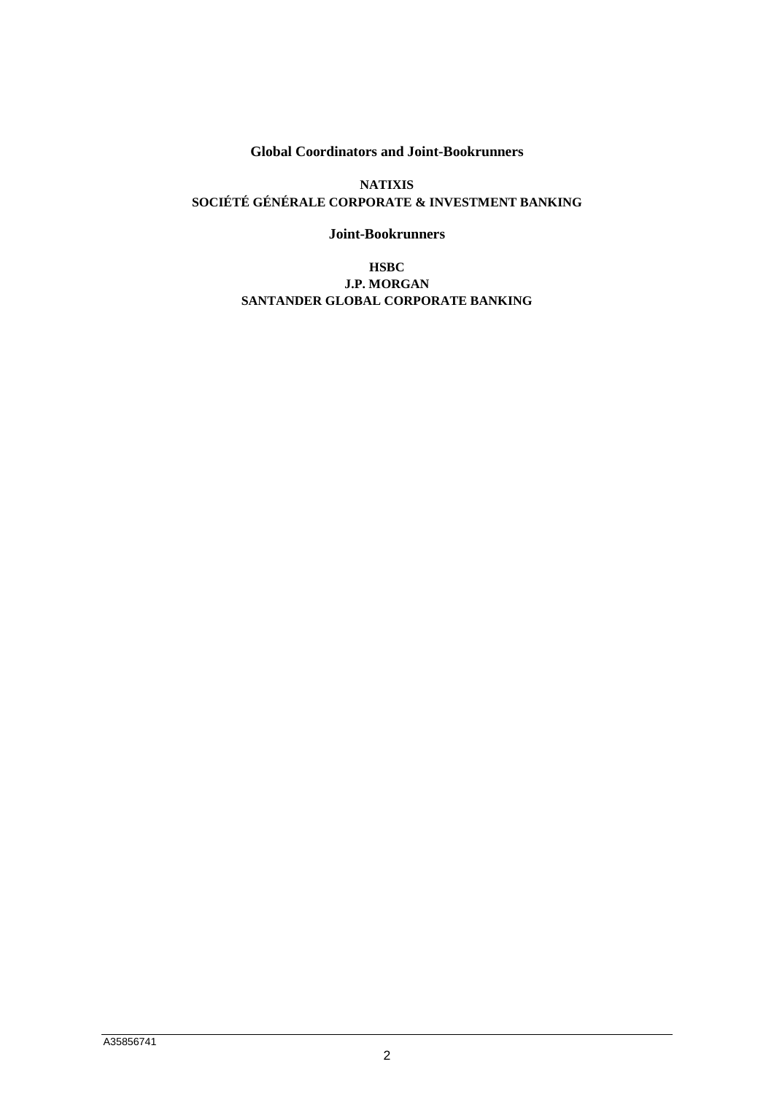**Global Coordinators and Joint-Bookrunners**

**NATIXIS SOCIÉTÉ GÉNÉRALE CORPORATE & INVESTMENT BANKING**

**Joint-Bookrunners**

**HSBC J.P. MORGAN SANTANDER GLOBAL CORPORATE BANKING**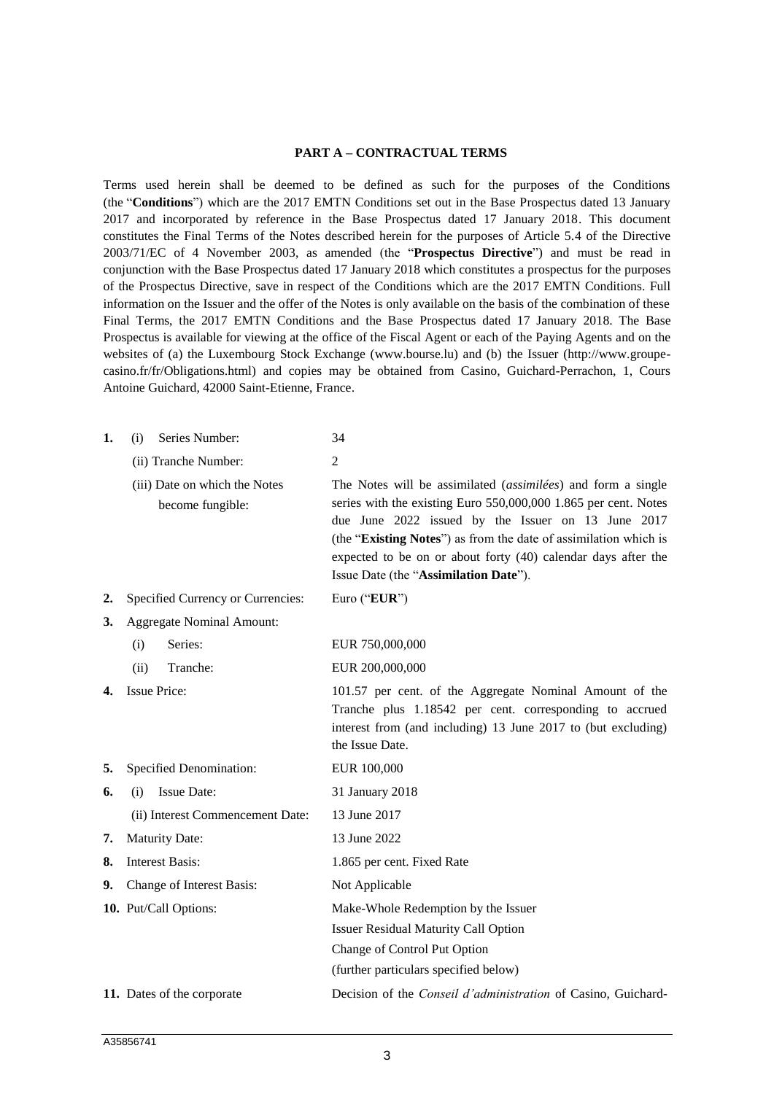#### **PART A – CONTRACTUAL TERMS**

Terms used herein shall be deemed to be defined as such for the purposes of the Conditions (the "**Conditions**") which are the 2017 EMTN Conditions set out in the Base Prospectus dated 13 January 2017 and incorporated by reference in the Base Prospectus dated 17 January 2018. This document constitutes the Final Terms of the Notes described herein for the purposes of Article 5.4 of the Directive 2003/71/EC of 4 November 2003, as amended (the "**Prospectus Directive**") and must be read in conjunction with the Base Prospectus dated 17 January 2018 which constitutes a prospectus for the purposes of the Prospectus Directive, save in respect of the Conditions which are the 2017 EMTN Conditions. Full information on the Issuer and the offer of the Notes is only available on the basis of the combination of these Final Terms, the 2017 EMTN Conditions and the Base Prospectus dated 17 January 2018. The Base Prospectus is available for viewing at the office of the Fiscal Agent or each of the Paying Agents and on the websites of (a) the Luxembourg Stock Exchange (www.bourse.lu) and (b) the Issuer (http://www.groupecasino.fr/fr/Obligations.html) and copies may be obtained from Casino, Guichard-Perrachon, 1, Cours Antoine Guichard, 42000 Saint-Etienne, France.

| 1. | Series Number:<br>(i)                             | 34                                                                                                                                                                                                                                                                                                                                                                           |
|----|---------------------------------------------------|------------------------------------------------------------------------------------------------------------------------------------------------------------------------------------------------------------------------------------------------------------------------------------------------------------------------------------------------------------------------------|
|    | (ii) Tranche Number:                              | $\overline{2}$                                                                                                                                                                                                                                                                                                                                                               |
|    | (iii) Date on which the Notes<br>become fungible: | The Notes will be assimilated ( <i>assimilées</i> ) and form a single<br>series with the existing Euro 550,000,000 1.865 per cent. Notes<br>due June 2022 issued by the Issuer on 13 June 2017<br>(the "Existing Notes") as from the date of assimilation which is<br>expected to be on or about forty (40) calendar days after the<br>Issue Date (the "Assimilation Date"). |
| 2. | Specified Currency or Currencies:                 | Euro ("EUR")                                                                                                                                                                                                                                                                                                                                                                 |
| 3. | <b>Aggregate Nominal Amount:</b>                  |                                                                                                                                                                                                                                                                                                                                                                              |
|    | Series:<br>(i)                                    | EUR 750,000,000                                                                                                                                                                                                                                                                                                                                                              |
|    | Tranche:<br>(ii)                                  | EUR 200,000,000                                                                                                                                                                                                                                                                                                                                                              |
| 4. | <b>Issue Price:</b>                               | 101.57 per cent. of the Aggregate Nominal Amount of the<br>Tranche plus 1.18542 per cent. corresponding to accrued<br>interest from (and including) 13 June 2017 to (but excluding)<br>the Issue Date.                                                                                                                                                                       |
| 5. | Specified Denomination:                           | EUR 100,000                                                                                                                                                                                                                                                                                                                                                                  |
| 6. | <b>Issue Date:</b><br>(i)                         | 31 January 2018                                                                                                                                                                                                                                                                                                                                                              |
|    | (ii) Interest Commencement Date:                  | 13 June 2017                                                                                                                                                                                                                                                                                                                                                                 |
| 7. | <b>Maturity Date:</b>                             | 13 June 2022                                                                                                                                                                                                                                                                                                                                                                 |
| 8. | <b>Interest Basis:</b>                            | 1.865 per cent. Fixed Rate                                                                                                                                                                                                                                                                                                                                                   |
| 9. | Change of Interest Basis:                         | Not Applicable                                                                                                                                                                                                                                                                                                                                                               |
|    | 10. Put/Call Options:                             | Make-Whole Redemption by the Issuer                                                                                                                                                                                                                                                                                                                                          |
|    |                                                   | <b>Issuer Residual Maturity Call Option</b>                                                                                                                                                                                                                                                                                                                                  |
|    |                                                   | Change of Control Put Option                                                                                                                                                                                                                                                                                                                                                 |
|    |                                                   | (further particulars specified below)                                                                                                                                                                                                                                                                                                                                        |
|    | 11. Dates of the corporate                        | Decision of the Conseil d'administration of Casino, Guichard-                                                                                                                                                                                                                                                                                                                |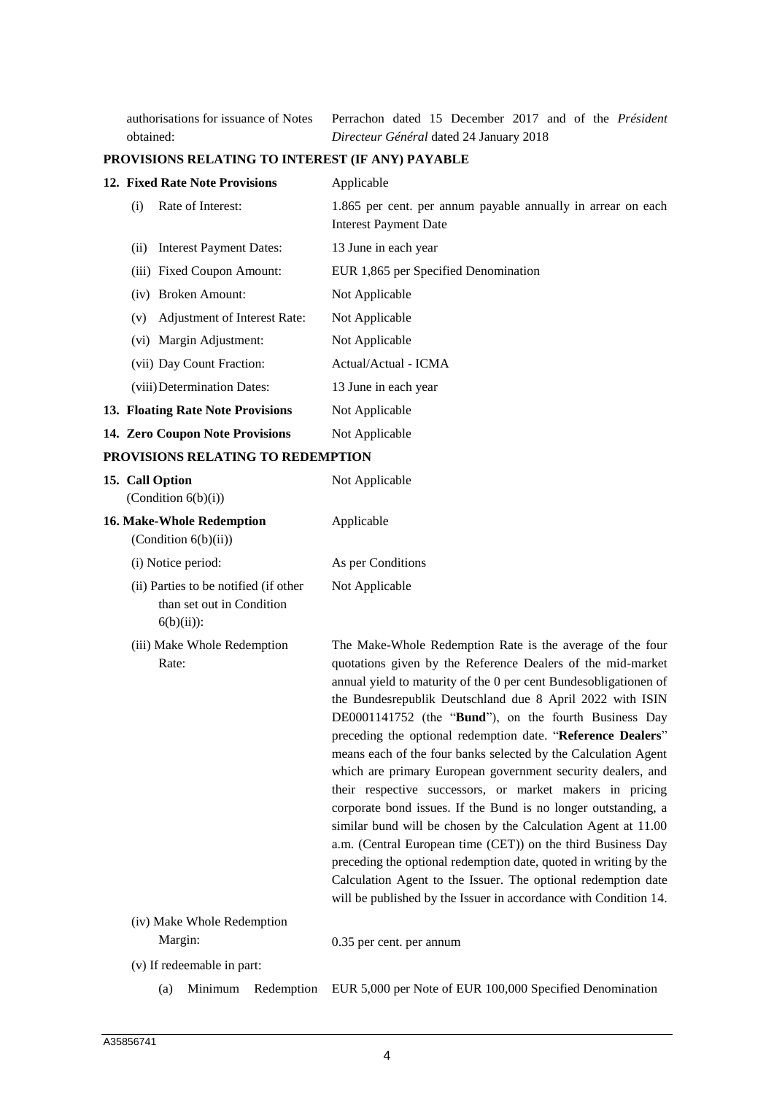authorisations for issuance of Notes obtained:

Perrachon dated 15 December 2017 and of the *Président Directeur Général* dated 24 January 2018

### **PROVISIONS RELATING TO INTEREST (IF ANY) PAYABLE**

|     | <b>12. Fixed Rate Note Provisions</b> | Applicable                                                                                   |
|-----|---------------------------------------|----------------------------------------------------------------------------------------------|
| (i) | Rate of Interest:                     | 1.865 per cent. per annum payable annually in arrear on each<br><b>Interest Payment Date</b> |
| (i) | <b>Interest Payment Dates:</b>        | 13 June in each year                                                                         |
|     | (iii) Fixed Coupon Amount:            | EUR 1,865 per Specified Denomination                                                         |
|     | (iv) Broken Amount:                   | Not Applicable                                                                               |
| (v) | Adjustment of Interest Rate:          | Not Applicable                                                                               |
|     | (vi) Margin Adjustment:               | Not Applicable                                                                               |
|     | (vii) Day Count Fraction:             | Actual/Actual - ICMA                                                                         |
|     | (viii) Determination Dates:           | 13 June in each year                                                                         |
|     | 13. Floating Rate Note Provisions     | Not Applicable                                                                               |
|     | 14. Zero Coupon Note Provisions       | Not Applicable                                                                               |
|     |                                       |                                                                                              |

### **PROVISIONS RELATING TO REDEMPTION**

| 15. Call Option<br>(Condition $6(b)(i)$ )                                           | Not Applicable                                                                                                                                                                                                                                                                                                                                                                                                                                                                                                                                                                                                                                                                                                                                                                                                                                                                                                                                                                             |
|-------------------------------------------------------------------------------------|--------------------------------------------------------------------------------------------------------------------------------------------------------------------------------------------------------------------------------------------------------------------------------------------------------------------------------------------------------------------------------------------------------------------------------------------------------------------------------------------------------------------------------------------------------------------------------------------------------------------------------------------------------------------------------------------------------------------------------------------------------------------------------------------------------------------------------------------------------------------------------------------------------------------------------------------------------------------------------------------|
| 16. Make-Whole Redemption<br>(Condition $6(b)(ii)$ )                                | Applicable                                                                                                                                                                                                                                                                                                                                                                                                                                                                                                                                                                                                                                                                                                                                                                                                                                                                                                                                                                                 |
| (i) Notice period:                                                                  | As per Conditions                                                                                                                                                                                                                                                                                                                                                                                                                                                                                                                                                                                                                                                                                                                                                                                                                                                                                                                                                                          |
| (ii) Parties to be notified (if other<br>than set out in Condition<br>$6(b)(ii))$ : | Not Applicable                                                                                                                                                                                                                                                                                                                                                                                                                                                                                                                                                                                                                                                                                                                                                                                                                                                                                                                                                                             |
| (iii) Make Whole Redemption<br>Rate:                                                | The Make-Whole Redemption Rate is the average of the four<br>quotations given by the Reference Dealers of the mid-market<br>annual yield to maturity of the 0 per cent Bundesobligationen of<br>the Bundesrepublik Deutschland due 8 April 2022 with ISIN<br>DE0001141752 (the "Bund"), on the fourth Business Day<br>preceding the optional redemption date. "Reference Dealers"<br>means each of the four banks selected by the Calculation Agent<br>which are primary European government security dealers, and<br>their respective successors, or market makers in pricing<br>corporate bond issues. If the Bund is no longer outstanding, a<br>similar bund will be chosen by the Calculation Agent at 11.00<br>a.m. (Central European time (CET)) on the third Business Day<br>preceding the optional redemption date, quoted in writing by the<br>Calculation Agent to the Issuer. The optional redemption date<br>will be published by the Issuer in accordance with Condition 14. |
| (iv) Make Whole Redemption<br>Margin:                                               | 0.35 per cent. per annum                                                                                                                                                                                                                                                                                                                                                                                                                                                                                                                                                                                                                                                                                                                                                                                                                                                                                                                                                                   |

- (v) If redeemable in part:
	- (a) Minimum Redemption EUR 5,000 per Note of EUR 100,000 Specified Denomination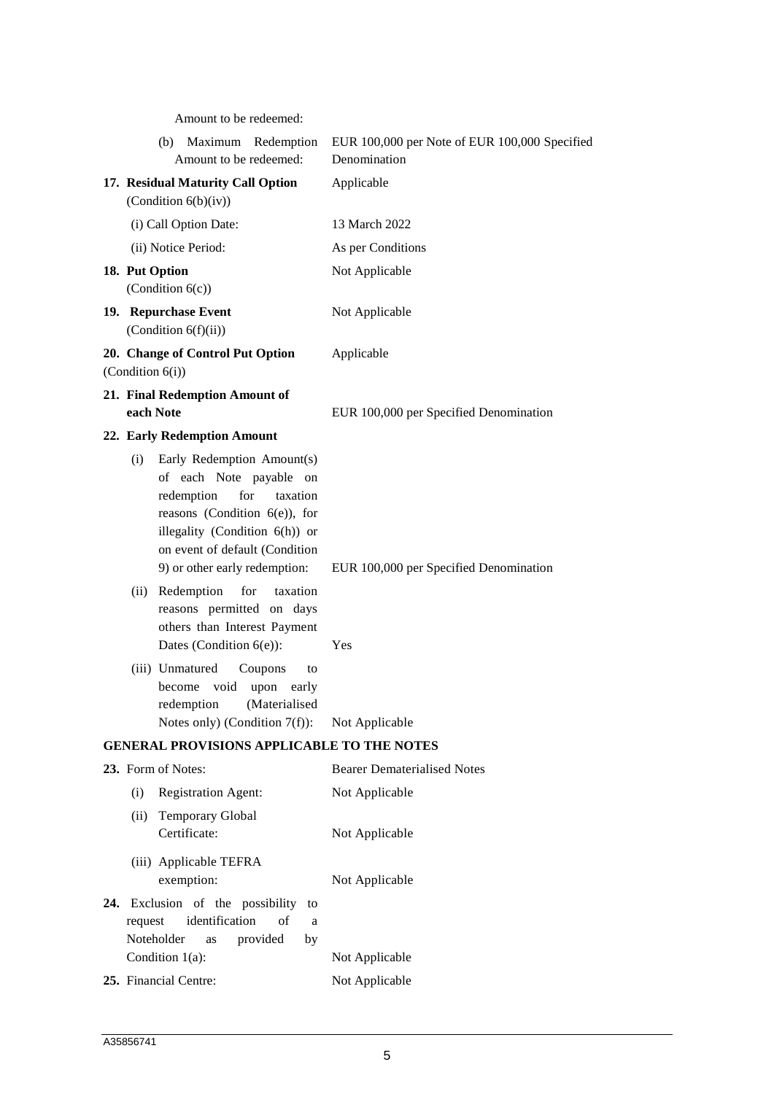Amount to be redeemed:

| 17. Residual Maturity Call Option<br>Applicable<br>(Condition $6(b)(iv)$ )<br>(i) Call Option Date:<br>13 March 2022<br>(ii) Notice Period:<br>As per Conditions<br>18. Put Option<br>Not Applicable<br>(Condition $6(c)$ )<br>19. Repurchase Event<br>Not Applicable<br>(Condition $6(f)(ii)$ )<br>20. Change of Control Put Option<br>Applicable<br>(Condition $6(i)$ )<br>21. Final Redemption Amount of | Maximum Redemption<br>(b)<br>Amount to be redeemed: | EUR 100,000 per Note of EUR 100,000 Specified<br>Denomination |
|-------------------------------------------------------------------------------------------------------------------------------------------------------------------------------------------------------------------------------------------------------------------------------------------------------------------------------------------------------------------------------------------------------------|-----------------------------------------------------|---------------------------------------------------------------|
|                                                                                                                                                                                                                                                                                                                                                                                                             |                                                     |                                                               |
|                                                                                                                                                                                                                                                                                                                                                                                                             |                                                     |                                                               |
|                                                                                                                                                                                                                                                                                                                                                                                                             |                                                     |                                                               |
|                                                                                                                                                                                                                                                                                                                                                                                                             |                                                     |                                                               |
|                                                                                                                                                                                                                                                                                                                                                                                                             |                                                     |                                                               |
|                                                                                                                                                                                                                                                                                                                                                                                                             |                                                     |                                                               |
|                                                                                                                                                                                                                                                                                                                                                                                                             | each Note                                           | EUR 100,000 per Specified Denomination                        |
| 22. Early Redemption Amount                                                                                                                                                                                                                                                                                                                                                                                 |                                                     |                                                               |
| Early Redemption Amount(s)<br>(i)<br>of each Note payable on<br>redemption<br>for<br>taxation<br>reasons (Condition $6(e)$ ), for<br>illegality (Condition 6(h)) or<br>on event of default (Condition<br>9) or other early redemption:<br>EUR 100,000 per Specified Denomination                                                                                                                            |                                                     |                                                               |
| Redemption<br>for<br>taxation<br>(ii)<br>reasons permitted on days<br>others than Interest Payment<br>Dates (Condition $6(e)$ ):<br>Yes                                                                                                                                                                                                                                                                     |                                                     |                                                               |
| (iii) Unmatured<br>Coupons<br>to<br>become<br>void<br>upon<br>early<br>(Materialised<br>redemption<br>Notes only) (Condition $7(f)$ ):<br>Not Applicable                                                                                                                                                                                                                                                    |                                                     |                                                               |
| <b>GENERAL PROVISIONS APPLICABLE TO THE NOTES</b>                                                                                                                                                                                                                                                                                                                                                           |                                                     |                                                               |
| 23. Form of Notes:<br><b>Bearer Dematerialised Notes</b>                                                                                                                                                                                                                                                                                                                                                    |                                                     |                                                               |
| <b>Registration Agent:</b><br>Not Applicable<br>(i)                                                                                                                                                                                                                                                                                                                                                         |                                                     |                                                               |
| <b>Temporary Global</b><br>(ii)<br>Certificate:<br>Not Applicable                                                                                                                                                                                                                                                                                                                                           |                                                     |                                                               |
| (iii) Applicable TEFRA<br>exemption:<br>Not Applicable                                                                                                                                                                                                                                                                                                                                                      |                                                     |                                                               |
| 24. Exclusion of the possibility to<br>identification<br>of<br>request<br>a<br>Noteholder<br>provided<br>as<br>by<br>Condition 1(a):                                                                                                                                                                                                                                                                        |                                                     |                                                               |
| Not Applicable<br>25. Financial Centre:<br>Not Applicable                                                                                                                                                                                                                                                                                                                                                   |                                                     |                                                               |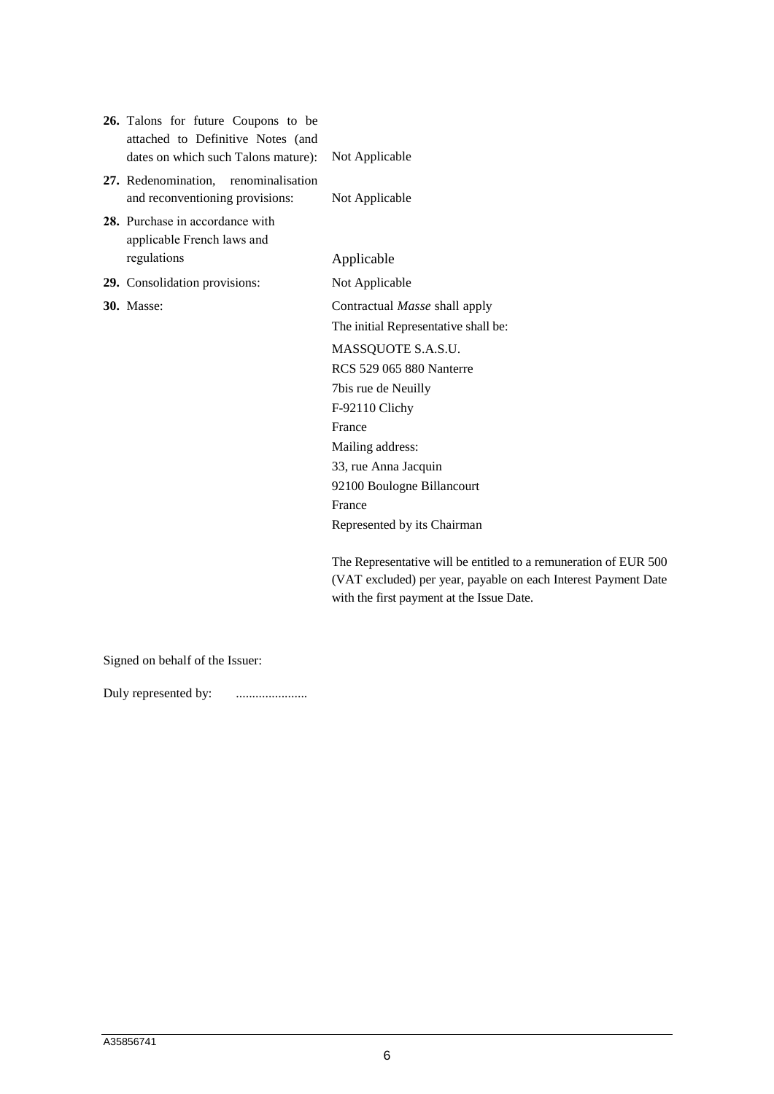| 26. Talons for future Coupons to be<br>attached to Definitive Notes (and<br>dates on which such Talons mature): | Not Applicable                                                   |
|-----------------------------------------------------------------------------------------------------------------|------------------------------------------------------------------|
| 27. Redenomination,<br>renominalisation<br>and reconventioning provisions:                                      | Not Applicable                                                   |
| 28. Purchase in accordance with<br>applicable French laws and                                                   |                                                                  |
| regulations                                                                                                     | Applicable                                                       |
| 29. Consolidation provisions:                                                                                   | Not Applicable                                                   |
| <b>30.</b> Masse:                                                                                               | Contractual Masse shall apply                                    |
|                                                                                                                 | The initial Representative shall be:                             |
|                                                                                                                 | MASSQUOTE S.A.S.U.                                               |
|                                                                                                                 | <b>RCS 529 065 880 Nanterre</b>                                  |
|                                                                                                                 | 7bis rue de Neuilly                                              |
|                                                                                                                 | F-92110 Clichy                                                   |
|                                                                                                                 | France                                                           |
|                                                                                                                 | Mailing address:                                                 |
|                                                                                                                 | 33, rue Anna Jacquin                                             |
|                                                                                                                 | 92100 Boulogne Billancourt                                       |
|                                                                                                                 | France                                                           |
|                                                                                                                 | Represented by its Chairman                                      |
|                                                                                                                 | The Representative will be entitled to a remuneration of EUR 500 |
|                                                                                                                 | (VAT excluded) per year, payable on each Interest Payment Date   |
|                                                                                                                 | with the first payment at the Issue Date.                        |

Signed on behalf of the Issuer:

Duly represented by: ......................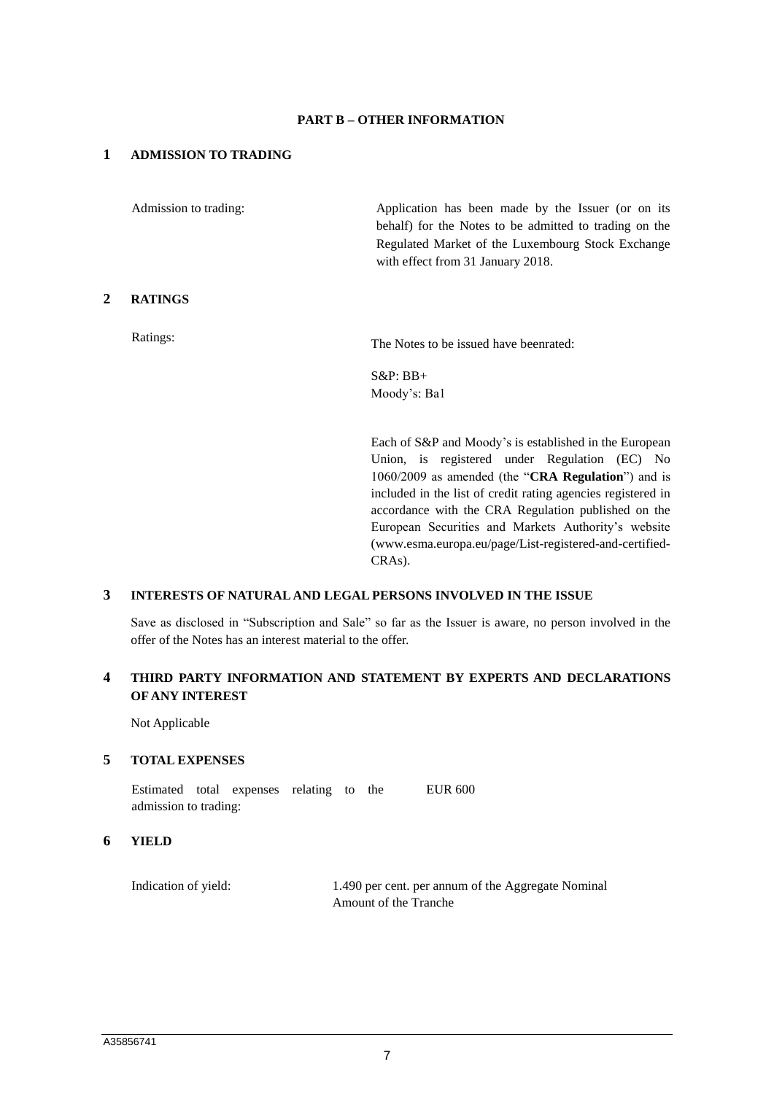#### **PART B – OTHER INFORMATION**

### **1 ADMISSION TO TRADING**

Admission to trading: Application has been made by the Issuer (or on its behalf) for the Notes to be admitted to trading on the Regulated Market of the Luxembourg Stock Exchange with effect from 31 January 2018.

### **2 RATINGS**

Ratings: The Notes to be issued have beenrated:

S&P: BB+ Moody's: Ba1

Each of S&P and Moody's is established in the European Union, is registered under Regulation (EC) No 1060/2009 as amended (the "**CRA Regulation**") and is included in the list of credit rating agencies registered in accordance with the CRA Regulation published on the European Securities and Markets Authority's website (www.esma.europa.eu/page/List-registered-and-certified-CRAs).

### **3 INTERESTS OF NATURAL AND LEGAL PERSONS INVOLVED IN THE ISSUE**

Save as disclosed in "Subscription and Sale" so far as the Issuer is aware, no person involved in the offer of the Notes has an interest material to the offer.

# **4 THIRD PARTY INFORMATION AND STATEMENT BY EXPERTS AND DECLARATIONS OF ANY INTEREST**

Not Applicable

### **5 TOTAL EXPENSES**

Estimated total expenses relating to the admission to trading: EUR 600

#### **6 YIELD**

Indication of yield: 1.490 per cent. per annum of the Aggregate Nominal Amount of the Tranche